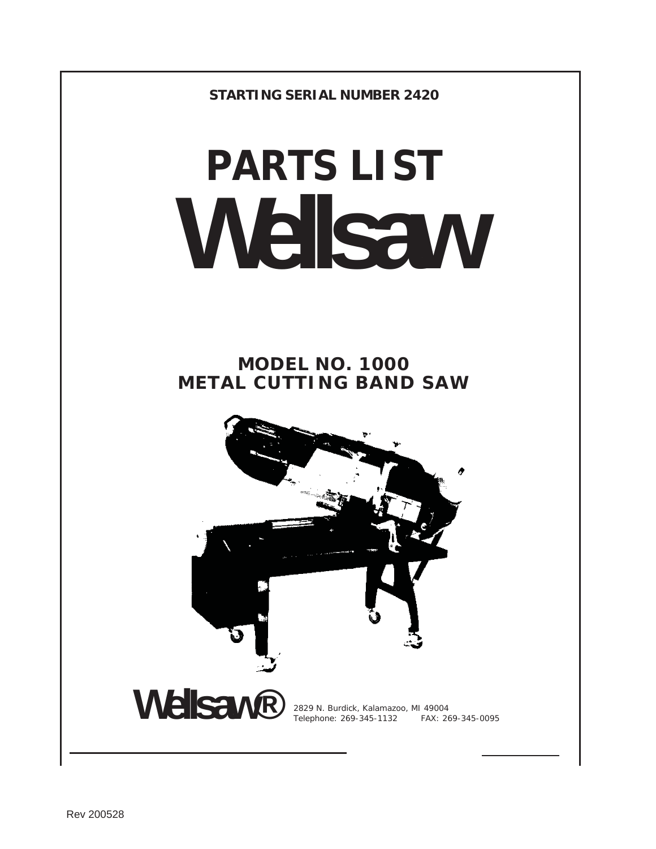**STARTING SERIAL NUMBER 2420** 

# **PARTS LIST Wellsaw**

**MODEL NO. 1000 METAL CUTTING BAND SAW** 

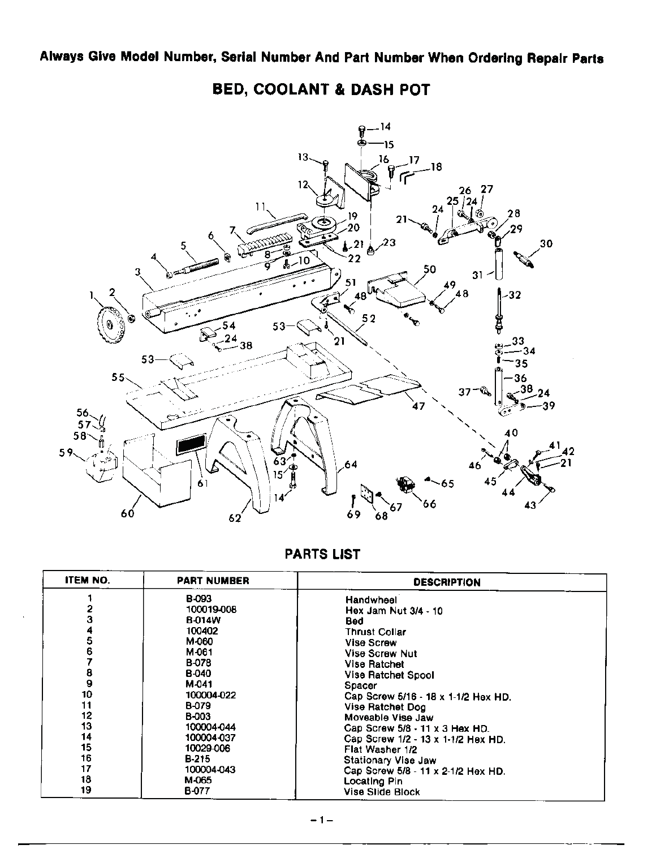**BED, COOLANT & DASH POT** 



| <b>ITEM NO.</b> | <b>PART NUMBER</b> | <b>DESCRIPTION</b>                        |
|-----------------|--------------------|-------------------------------------------|
|                 | B-093              | Handwheel                                 |
|                 | 100019-008         | Hex Jam Nut 3/4 - 10                      |
| 3               | <b>B-014W</b>      | Bed                                       |
|                 | 100402             | <b>Thrust Collar</b>                      |
| 5               | M-060              | <b>Vise Screw</b>                         |
| 6               | M-061              | <b>Vise Screw Nut</b>                     |
|                 | <b>B-078</b>       | <b>Vise Ratchet</b>                       |
| 8               | <b>B-040</b>       | Vise Ratchet Spool                        |
| 9               | M-041              | Spacer                                    |
| 10              | 100004-022         | Cap Screw 5/16 - 18 x 1-1/2 Hex HD.       |
| 11              | B-079              | <b>Vise Ratchet Dog</b>                   |
| 12              | <b>B-003</b>       | Moveable Vise Jaw                         |
| 13              | 100004-044         | Cap Screw $5/8 \cdot 11 \times 3$ Hex HD. |
| 14              | 100004-037         | Cap Screw 1/2 - 13 x 1-1/2 Hex HD.        |
| 15              | 10029-006          | Flat Washer 1/2                           |
| 16              | <b>B-215</b>       | <b>Stationary Vise Jaw</b>                |
| 17              | 100004-043         | Cap Screw 5/8 - 11 x 2-1/2 Hex HD.        |
| 18              | M-065              | <b>Locating Pin</b>                       |
| 19              | <b>B-077</b>       | Vise Slide Block                          |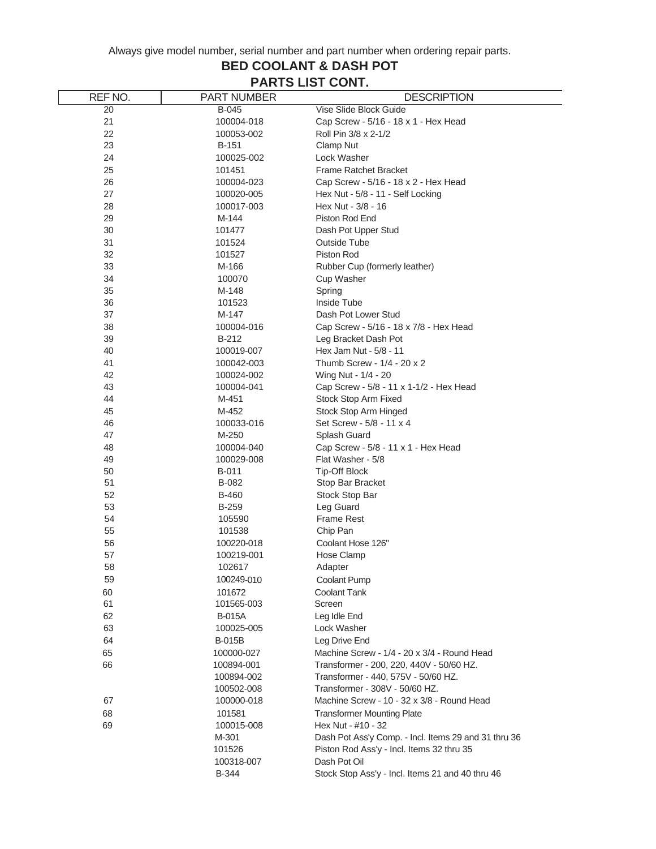#### **BED COOLANT & DASH POT PARTS LIST CONT.**

| REF NO.  | <b>PART NUMBER</b>   | <b>DESCRIPTION</b>                                   |
|----------|----------------------|------------------------------------------------------|
| 20       | B-045                | Vise Slide Block Guide                               |
| 21       | 100004-018           | Cap Screw - 5/16 - 18 x 1 - Hex Head                 |
| 22       | 100053-002           | Roll Pin 3/8 x 2-1/2                                 |
| 23       | <b>B-151</b>         | Clamp Nut                                            |
| 24       | 100025-002           | Lock Washer                                          |
| 25       | 101451               | <b>Frame Ratchet Bracket</b>                         |
| 26       | 100004-023           | Cap Screw - 5/16 - 18 x 2 - Hex Head                 |
| 27       | 100020-005           | Hex Nut - 5/8 - 11 - Self Locking                    |
| 28       | 100017-003           | Hex Nut - 3/8 - 16                                   |
| 29       | M-144                | Piston Rod End                                       |
| 30       | 101477               | Dash Pot Upper Stud                                  |
| 31       | 101524               | <b>Outside Tube</b>                                  |
| 32       | 101527               | Piston Rod                                           |
| 33       | M-166                | Rubber Cup (formerly leather)                        |
| 34       | 100070               | Cup Washer                                           |
| 35       | M-148                | Spring                                               |
| 36       | 101523               | Inside Tube                                          |
| 37       | M-147                | Dash Pot Lower Stud                                  |
| 38       | 100004-016           | Cap Screw - 5/16 - 18 x 7/8 - Hex Head               |
| 39       | B-212                | Leg Bracket Dash Pot                                 |
| 40       | 100019-007           | Hex Jam Nut - 5/8 - 11                               |
| 41       | 100042-003           | Thumb Screw - 1/4 - 20 x 2                           |
| 42       | 100024-002           | Wing Nut - 1/4 - 20                                  |
| 43       | 100004-041           | Cap Screw - 5/8 - 11 x 1-1/2 - Hex Head              |
| 44       | M-451                | Stock Stop Arm Fixed                                 |
| 45       | M-452                | Stock Stop Arm Hinged                                |
| 46       | 100033-016           | Set Screw - 5/8 - 11 x 4                             |
| 47       | M-250                | Splash Guard                                         |
| 48       | 100004-040           | Cap Screw - 5/8 - 11 x 1 - Hex Head                  |
| 49       | 100029-008           | Flat Washer - 5/8                                    |
| 50       | B-011                | <b>Tip-Off Block</b>                                 |
| 51       | B-082                | Stop Bar Bracket                                     |
| 52       | <b>B-460</b>         | Stock Stop Bar                                       |
| 53<br>54 | <b>B-259</b>         | Leg Guard                                            |
|          | 105590               | <b>Frame Rest</b>                                    |
| 55       | 101538               | Chip Pan                                             |
| 56       | 100220-018           | Coolant Hose 126"<br>Hose Clamp                      |
| 57       | 100219-001<br>102617 |                                                      |
| 58<br>59 | 100249-010           | Adapter<br><b>Coolant Pump</b>                       |
|          |                      |                                                      |
| 60<br>61 | 101672<br>101565-003 | <b>Coolant Tank</b><br>Screen                        |
| 62       | <b>B-015A</b>        | Leg Idle End                                         |
| 63       | 100025-005           | Lock Washer                                          |
| 64       | B-015B               | Leg Drive End                                        |
| 65       | 100000-027           | Machine Screw - 1/4 - 20 x 3/4 - Round Head          |
| 66       | 100894-001           | Transformer - 200, 220, 440V - 50/60 HZ.             |
|          | 100894-002           | Transformer - 440, 575V - 50/60 HZ.                  |
|          | 100502-008           | Transformer - 308V - 50/60 HZ.                       |
| 67       | 100000-018           | Machine Screw - 10 - 32 x 3/8 - Round Head           |
| 68       | 101581               | <b>Transformer Mounting Plate</b>                    |
| 69       | 100015-008           | Hex Nut - #10 - 32                                   |
|          | M-301                | Dash Pot Ass'y Comp. - Incl. Items 29 and 31 thru 36 |
|          | 101526               | Piston Rod Ass'y - Incl. Items 32 thru 35            |
|          | 100318-007           | Dash Pot Oil                                         |
|          | <b>B-344</b>         | Stock Stop Ass'y - Incl. Items 21 and 40 thru 46     |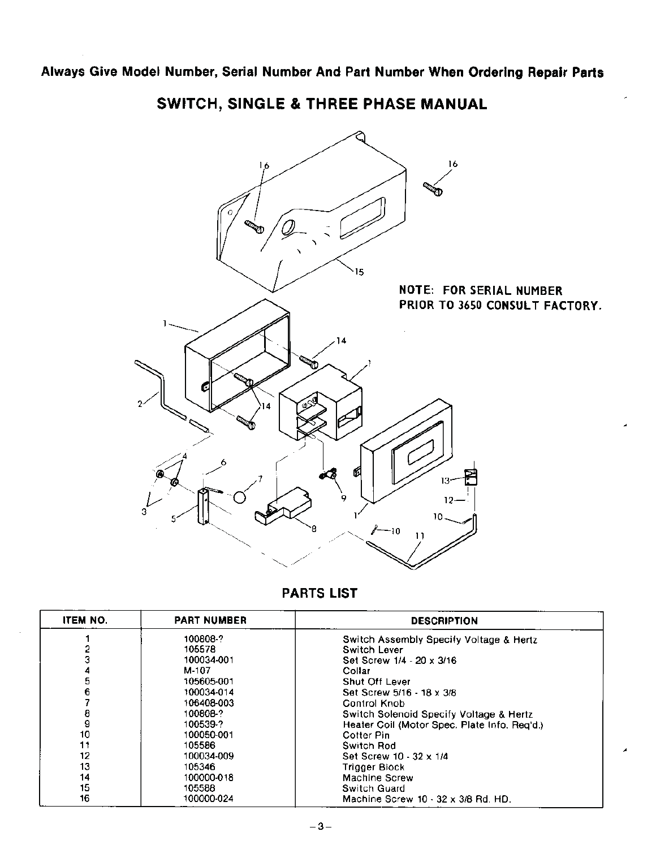16 16 15 **NOTE: FOR SERIAL NUMBER** PRIOR TO 3650 CONSULT FACTORY.  $14$ Ŷ. f 13  $12-$ 10 -10

SWITCH, SINGLE & THREE PHASE MANUAL

| <b>ITEM NO.</b> | <b>PART NUMBER</b> | <b>DESCRIPTION</b>                           |
|-----------------|--------------------|----------------------------------------------|
|                 | 100808-?           | Switch Assembly Specify Voltage & Hertz      |
|                 | 105578             | <b>Switch Lever</b>                          |
|                 | 100034-001         | Set Screw 1/4 - 20 x 3/16                    |
|                 | M-107              | Collar                                       |
| 5               | 105605-001         | <b>Shut Off Lever</b>                        |
| 6               | 100034-014         | Set Screw 5/16 - 18 x 3/8                    |
|                 | 106408-003         | Control Knob                                 |
| 8               | 100808-?           | Switch Solenoid Specify Voltage & Hertz      |
| 9               | 100539-?           | Heater Coil (Motor Spec. Plate Info. Reg'd.) |
| 10              | 100050-001         | Cotter Pin                                   |
| 11              | 105586             | Switch Rod                                   |
| 12              | 100034-009         | Set Screw 10 - 32 x 1/4                      |
| 13              | 105346             | Trigger Block                                |
| 14              | 100000-018         | Machine Screw                                |
| 15              | 105588             | Switch Guard                                 |
| 16              | 100000-024         | Machine Screw 10 - 32 x 3/8 Rd, HD,          |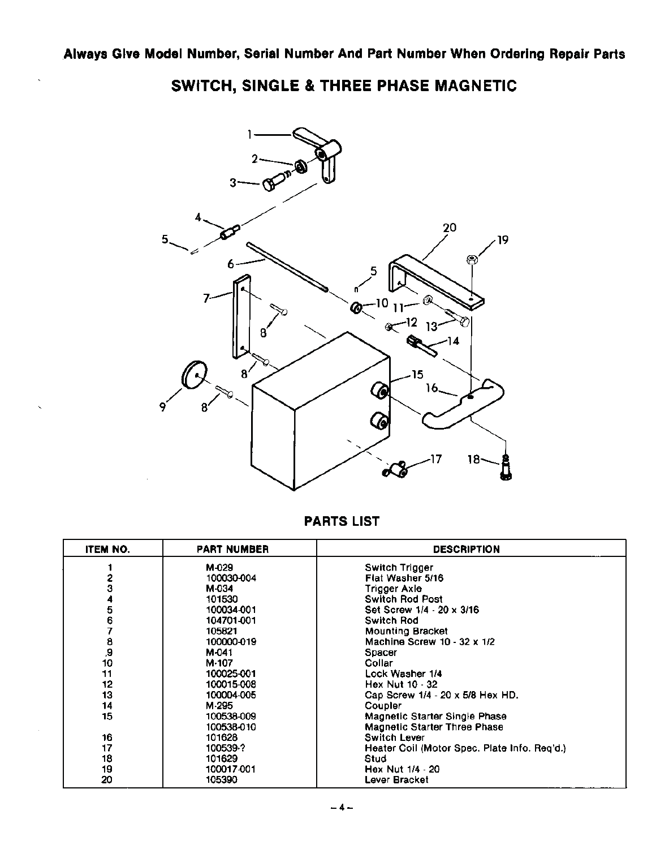

SWITCH, SINGLE & THREE PHASE MAGNETIC

| ITEM NO. | <b>PART NUMBER</b> | <b>DESCRIPTION</b>                           |
|----------|--------------------|----------------------------------------------|
|          | M-029              | Switch Trigger                               |
| 2        | 100030-004         | Flat Washer 5/16                             |
|          | M-034              | Trigger Axle                                 |
|          | 101530             | <b>Switch Rod Post</b>                       |
| 5        | 100034-001         | Set Screw 1/4 - 20 x 3/16                    |
| 6        | 104701-001         | Switch Rod                                   |
|          | 105821             | <b>Mounting Bracket</b>                      |
|          | 100000-019         | Machine Screw 10 - 32 x 1/2                  |
| 8<br>9,  | M-041              | Spacer                                       |
| 10       | M-107              | Collar                                       |
| 11       | 100025-001         | Lock Washer 1/4                              |
| 12       | 100015-008         | Hex Nut 10 - 32                              |
| 13       | 100004-005         | Cap Screw 1/4 - 20 x 5/8 Hex HD.             |
| 14       | M-295              | Coupler                                      |
| 15       | 100538-009         | Magnetic Starter Single Phase                |
|          | 100538-010         | <b>Magnetic Starter Three Phase</b>          |
| 16       | 101628             | <b>Switch Lever</b>                          |
| 17       | 100539-?           | Heater Coil (Motor Spec. Plate Info. Reg'd.) |
| 18       | 101629             | Stud                                         |
| 19       | 100017-001         | Hex Nut 1/4 - 20                             |
| 20       | 105390             | Lever Bracket                                |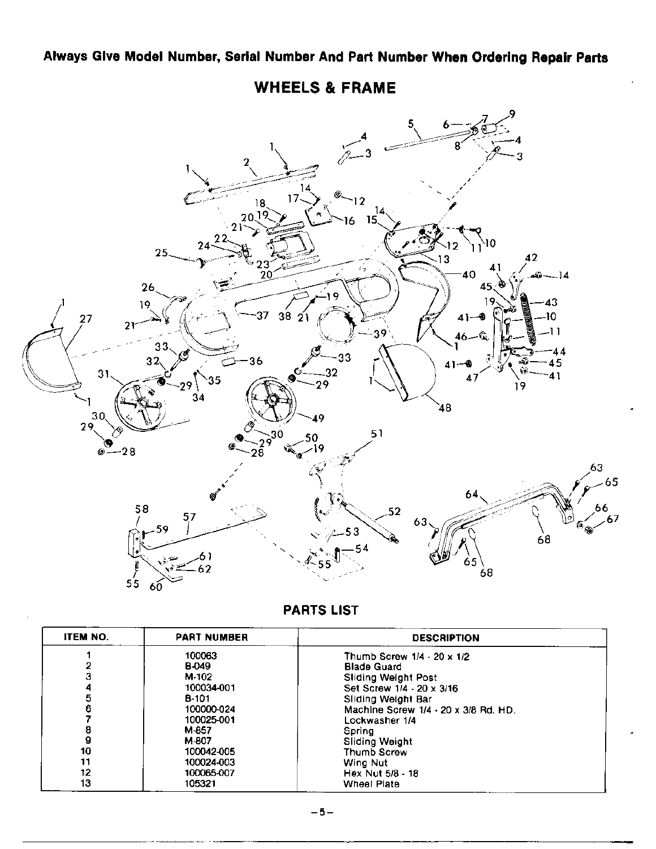

**WHEELS & FRAME** 

| <b>ITEM NO.</b> | <b>PART NUMBER</b> | <b>DESCRIPTION</b>                   |  |
|-----------------|--------------------|--------------------------------------|--|
|                 | 100063             | Thumb Screw 1/4 - 20 x 1/2           |  |
|                 | <b>B-049</b>       | <b>Blade Guard</b>                   |  |
|                 | M-102              | <b>Sliding Weight Post</b>           |  |
|                 | 100034-001         | Set Screw 1/4 - 20 x 3/16            |  |
|                 | B-101              | Sliding Weight Bar                   |  |
|                 | 100000-024         | Machine Screw 1/4 - 20 x 3/8 Rd, HD. |  |
|                 | 100025-001         | Lockwasher 1/4                       |  |
| 8               | M-857              | Spring                               |  |
| 9               | M-807              | Sliding Weight                       |  |
| 10              | 100042-005         | Thumb Screw                          |  |
| 11              | 100024-003         | Wing Nut                             |  |
| 12              | 100065-007         | Hex Nut 5/8 - 18                     |  |
| 13              | 105321             | Wheel Plate                          |  |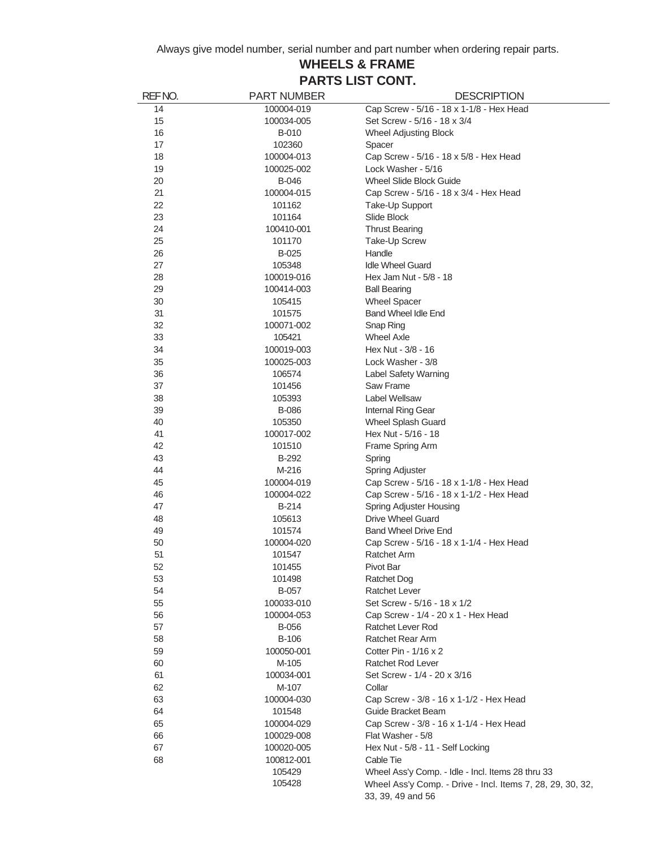#### **WHEELS & FRAME PARTS LIST CONT.**

| REFNO.   | <b>PART NUMBER</b>   | <b>DESCRIPTION</b>                                         |
|----------|----------------------|------------------------------------------------------------|
| 14       | 100004-019           | Cap Screw - 5/16 - 18 x 1-1/8 - Hex Head                   |
| 15       | 100034-005           | Set Screw - 5/16 - 18 x 3/4                                |
| 16       | <b>B-010</b>         | <b>Wheel Adjusting Block</b>                               |
| 17       | 102360               | Spacer                                                     |
| 18       | 100004-013           | Cap Screw - 5/16 - 18 x 5/8 - Hex Head                     |
| 19       | 100025-002           | Lock Washer - 5/16                                         |
| 20       | B-046                | Wheel Slide Block Guide                                    |
| 21       | 100004-015           | Cap Screw - 5/16 - 18 x 3/4 - Hex Head                     |
| 22       | 101162               | Take-Up Support                                            |
| 23       | 101164               | Slide Block                                                |
| 24       | 100410-001           | <b>Thrust Bearing</b>                                      |
| 25       | 101170               | Take-Up Screw                                              |
| 26       | B-025                | Handle                                                     |
| 27       | 105348               | <b>Idle Wheel Guard</b>                                    |
| 28       | 100019-016           | Hex Jam Nut - 5/8 - 18                                     |
| 29       | 100414-003           | <b>Ball Bearing</b>                                        |
| 30       | 105415               | <b>Wheel Spacer</b>                                        |
| 31       | 101575               | Band Wheel Idle End                                        |
| 32       | 100071-002           | Snap Ring                                                  |
| 33       | 105421               | <b>Wheel Axle</b>                                          |
| 34       | 100019-003           | Hex Nut - 3/8 - 16                                         |
| 35       | 100025-003           | Lock Washer - 3/8                                          |
| 36       | 106574               | Label Safety Warning                                       |
| 37       | 101456               | Saw Frame                                                  |
| 38       | 105393               | Label Wellsaw                                              |
| 39       | <b>B-086</b>         | Internal Ring Gear                                         |
| 40       | 105350               | <b>Wheel Splash Guard</b>                                  |
| 41       | 100017-002           | Hex Nut - 5/16 - 18                                        |
| 42       | 101510               | Frame Spring Arm                                           |
| 43       | B-292                | Spring                                                     |
| 44       | M-216                | Spring Adjuster                                            |
| 45       | 100004-019           | Cap Screw - 5/16 - 18 x 1-1/8 - Hex Head                   |
| 46       | 100004-022           | Cap Screw - 5/16 - 18 x 1-1/2 - Hex Head                   |
| 47       | B-214                |                                                            |
| 48       | 105613               | <b>Spring Adjuster Housing</b><br><b>Drive Wheel Guard</b> |
|          |                      |                                                            |
| 49       | 101574               | <b>Band Wheel Drive End</b>                                |
| 50<br>51 | 100004-020<br>101547 | Cap Screw - 5/16 - 18 x 1-1/4 - Hex Head<br>Ratchet Arm    |
| 52       |                      |                                                            |
|          | 101455               | Pivot Bar                                                  |
| 53       | 101498               | <b>Ratchet Dog</b>                                         |
| 54       | <b>B-057</b>         | <b>Ratchet Lever</b>                                       |
| 55       | 100033-010           | Set Screw - 5/16 - 18 x 1/2                                |
| 56       | 100004-053           | Cap Screw - 1/4 - 20 x 1 - Hex Head                        |
| 57       | <b>B-056</b>         | <b>Ratchet Lever Rod</b>                                   |
| 58       | <b>B-106</b>         | Ratchet Rear Arm                                           |
| 59       | 100050-001           | Cotter Pin - 1/16 x 2                                      |
| 60       | M-105                | Ratchet Rod Lever                                          |
| 61       | 100034-001           | Set Screw - 1/4 - 20 x 3/16                                |
| 62       | M-107                | Collar                                                     |
| 63       | 100004-030           | Cap Screw - 3/8 - 16 x 1-1/2 - Hex Head                    |
| 64       | 101548               | Guide Bracket Beam                                         |
| 65       | 100004-029           | Cap Screw - 3/8 - 16 x 1-1/4 - Hex Head                    |
| 66       | 100029-008           | Flat Washer - 5/8                                          |
| 67       | 100020-005           | Hex Nut - 5/8 - 11 - Self Locking                          |
| 68       | 100812-001           | Cable Tie                                                  |
|          | 105429               | Wheel Ass'y Comp. - Idle - Incl. Items 28 thru 33          |
|          | 105428               | Wheel Ass'y Comp. - Drive - Incl. Items 7, 28, 29, 30, 32, |
|          |                      | 33, 39, 49 and 56                                          |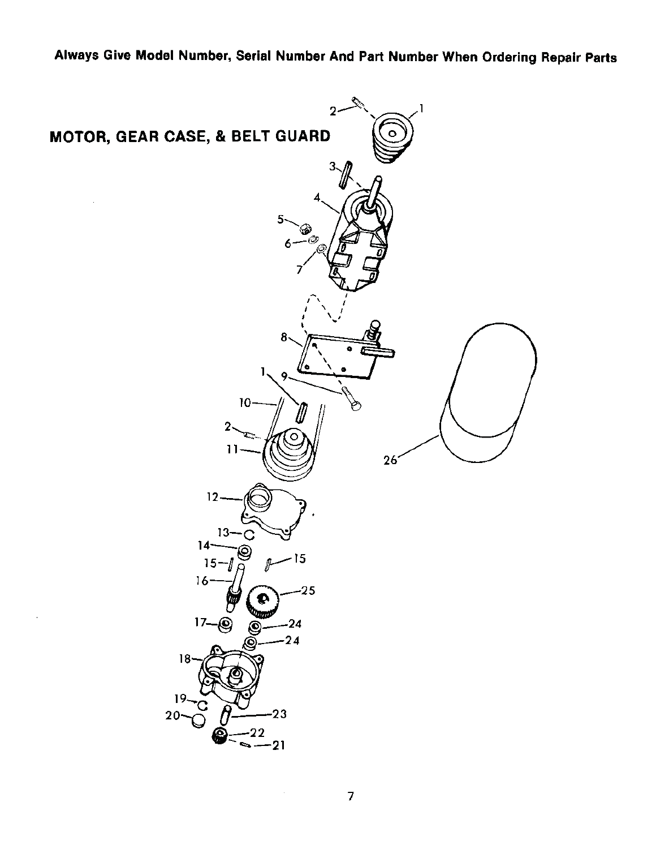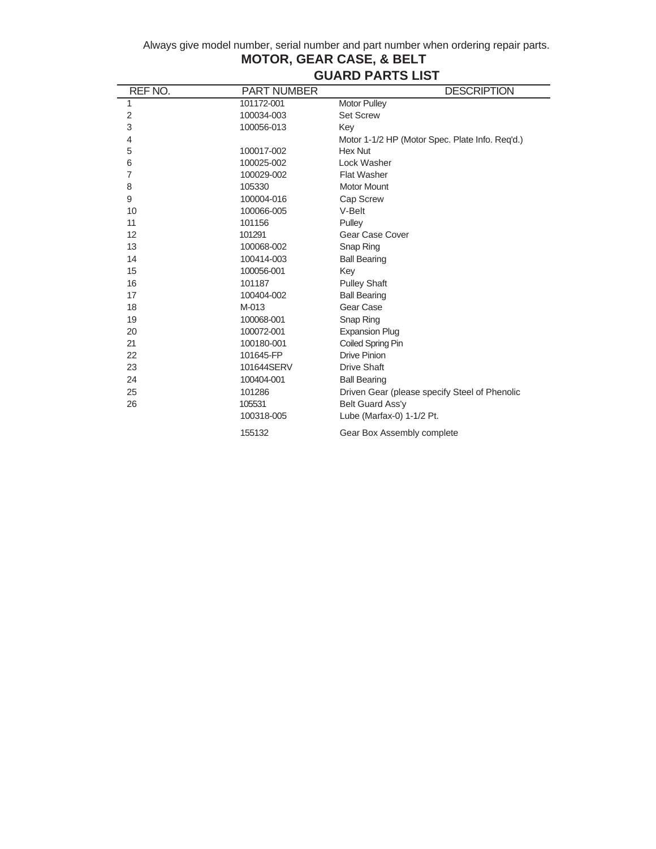| REF NO.     | <b>PART NUMBER</b> | <b>DESCRIPTION</b>                              |
|-------------|--------------------|-------------------------------------------------|
| 1           | 101172-001         | <b>Motor Pulley</b>                             |
| $\mathbf 2$ | 100034-003         | <b>Set Screw</b>                                |
| 3           | 100056-013         | Key                                             |
| 4           |                    | Motor 1-1/2 HP (Motor Spec. Plate Info. Reg'd.) |
| 5           | 100017-002         | <b>Hex Nut</b>                                  |
| 6           | 100025-002         | Lock Washer                                     |
| 7           | 100029-002         | <b>Flat Washer</b>                              |
| 8           | 105330             | <b>Motor Mount</b>                              |
| 9           | 100004-016         | Cap Screw                                       |
| 10          | 100066-005         | V-Belt                                          |
| 11          | 101156             | Pulley                                          |
| 12          | 101291             | Gear Case Cover                                 |
| 13          | 100068-002         | Snap Ring                                       |
| 14          | 100414-003         | <b>Ball Bearing</b>                             |
| 15          | 100056-001         | Key                                             |
| 16          | 101187             | <b>Pulley Shaft</b>                             |
| 17          | 100404-002         | <b>Ball Bearing</b>                             |
| 18          | $M-013$            | Gear Case                                       |
| 19          | 100068-001         | Snap Ring                                       |
| 20          | 100072-001         | <b>Expansion Plug</b>                           |
| 21          | 100180-001         | Coiled Spring Pin                               |
| 22          | 101645-FP          | <b>Drive Pinion</b>                             |
| 23          | 101644SERV         | <b>Drive Shaft</b>                              |
| 24          | 100404-001         | <b>Ball Bearing</b>                             |
| 25          | 101286             | Driven Gear (please specify Steel of Phenolic   |
| 26          | 105531             | Belt Guard Ass'y                                |
|             | 100318-005         | Lube (Marfax-0) 1-1/2 Pt.                       |
|             | 155132             | Gear Box Assembly complete                      |

## **MOTOR, GEAR CASE, & BELT GUARD PARTS LIST**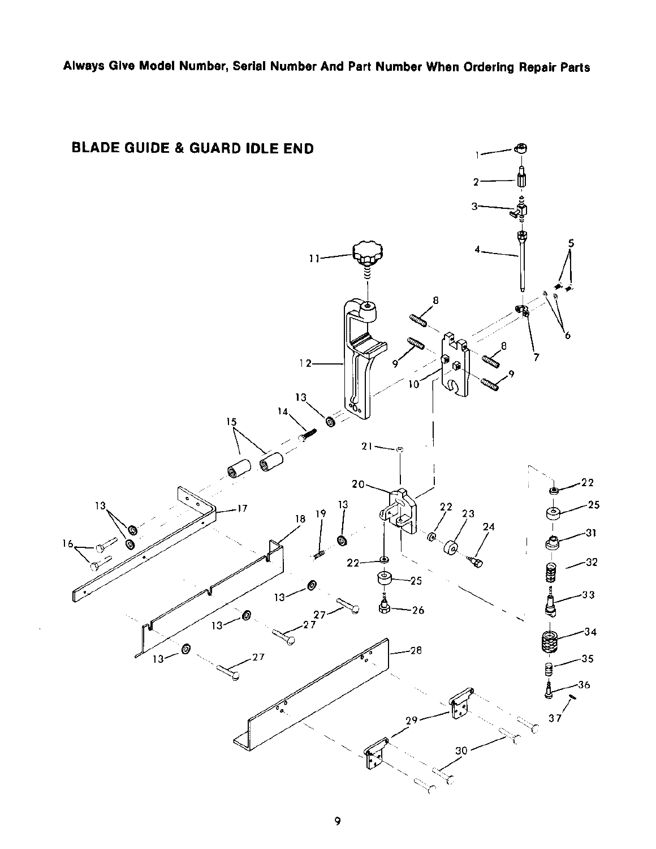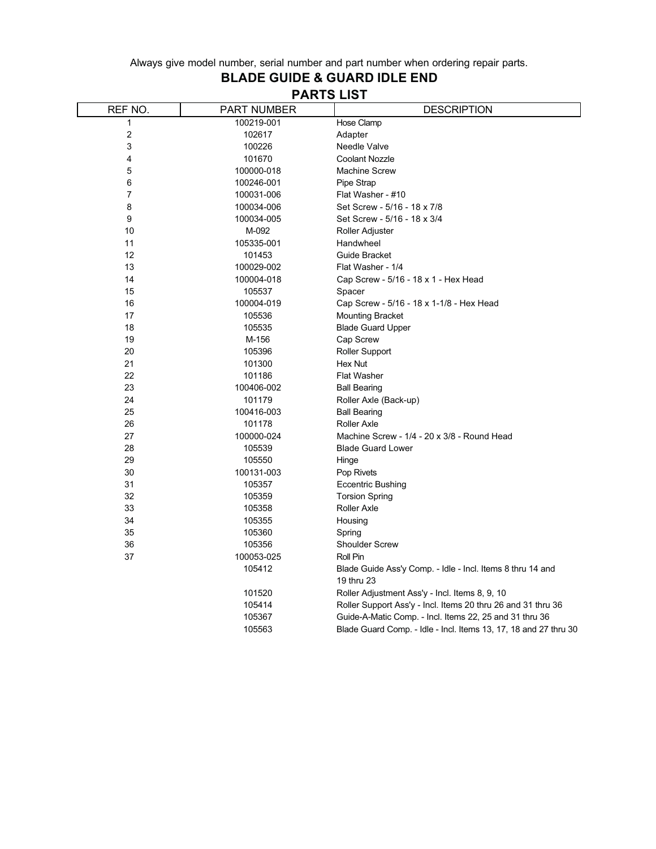# **BLADE GUIDE & GUARD IDLE END**

| REF NO. | <b>PART NUMBER</b> | <b>DESCRIPTION</b>                                                       |
|---------|--------------------|--------------------------------------------------------------------------|
| 1       | 100219-001         | Hose Clamp                                                               |
| 2       | 102617             | Adapter                                                                  |
| 3       | 100226             | Needle Valve                                                             |
| 4       | 101670             | Coolant Nozzle                                                           |
| 5       | 100000-018         | <b>Machine Screw</b>                                                     |
| 6       | 100246-001         | Pipe Strap                                                               |
| 7       | 100031-006         | Flat Washer - #10                                                        |
| 8       | 100034-006         | Set Screw - 5/16 - 18 x 7/8                                              |
| 9       | 100034-005         | Set Screw - 5/16 - 18 x 3/4                                              |
| 10      | M-092              | Roller Adjuster                                                          |
| 11      | 105335-001         | Handwheel                                                                |
| 12      | 101453             | Guide Bracket                                                            |
| 13      | 100029-002         | Flat Washer - 1/4                                                        |
| 14      | 100004-018         | Cap Screw - 5/16 - 18 x 1 - Hex Head                                     |
| 15      | 105537             | Spacer                                                                   |
| 16      | 100004-019         | Cap Screw - 5/16 - 18 x 1-1/8 - Hex Head                                 |
| 17      | 105536             | <b>Mounting Bracket</b>                                                  |
| 18      | 105535             | <b>Blade Guard Upper</b>                                                 |
| 19      | M-156              | Cap Screw                                                                |
| 20      | 105396             | <b>Roller Support</b>                                                    |
| 21      | 101300             | Hex Nut                                                                  |
| 22      | 101186             | <b>Flat Washer</b>                                                       |
| 23      | 100406-002         | <b>Ball Bearing</b>                                                      |
| 24      | 101179             | Roller Axle (Back-up)                                                    |
| 25      | 100416-003         | <b>Ball Bearing</b>                                                      |
| 26      | 101178             | <b>Roller Axle</b>                                                       |
| 27      | 100000-024         | Machine Screw - 1/4 - 20 x 3/8 - Round Head                              |
| 28      | 105539             | <b>Blade Guard Lower</b>                                                 |
| 29      | 105550             | Hinge                                                                    |
| 30      | 100131-003         | Pop Rivets                                                               |
| 31      | 105357             | <b>Eccentric Bushing</b>                                                 |
| 32      | 105359             | <b>Torsion Spring</b>                                                    |
| 33      | 105358             | <b>Roller Axle</b>                                                       |
| 34      | 105355             | Housing                                                                  |
| 35      | 105360             | Spring                                                                   |
| 36      | 105356             | <b>Shoulder Screw</b>                                                    |
| 37      | 100053-025         | Roll Pin                                                                 |
|         | 105412             | Blade Guide Ass'y Comp. - Idle - Incl. Items 8 thru 14 and<br>19 thru 23 |
|         | 101520             | Roller Adjustment Ass'y - Incl. Items 8, 9, 10                           |
|         | 105414             | Roller Support Ass'y - Incl. Items 20 thru 26 and 31 thru 36             |
|         | 105367             | Guide-A-Matic Comp. - Incl. Items 22, 25 and 31 thru 36                  |
|         | 105563             | Blade Guard Comp. - Idle - Incl. Items 13, 17, 18 and 27 thru 30         |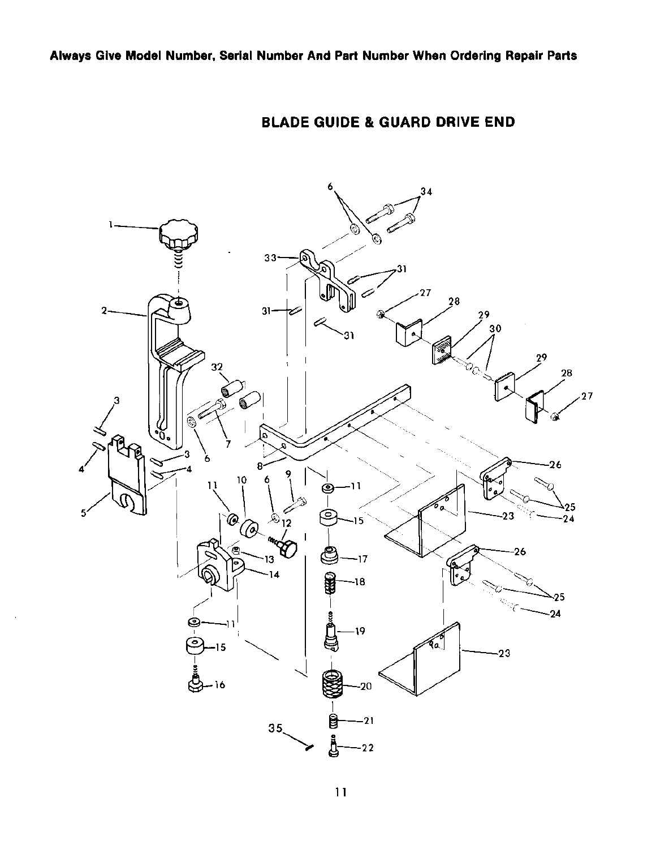

## **BLADE GUIDE & GUARD DRIVE END**

 $11$